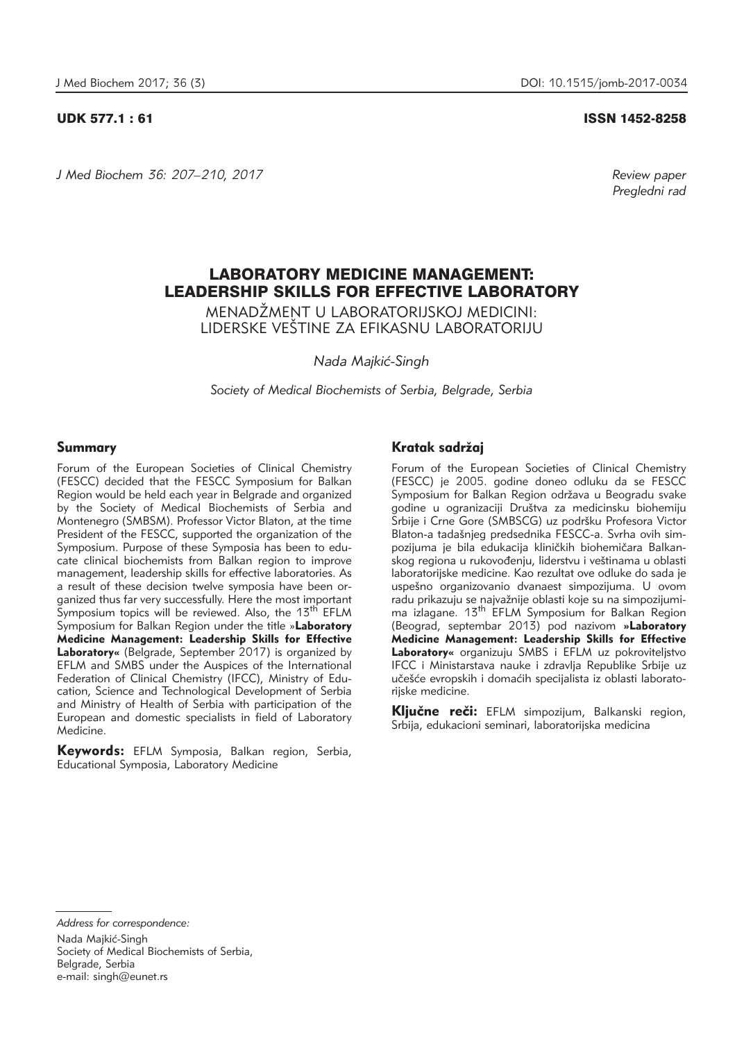*J Med Biochem 36: 207–210, 2017 Review paper*

UDK 577.1 : 61 ISSN 1452-8258

*Pregledni rad*

# LABORATORY MEDICINE MANAGEMENT: LEADERSHIP SKILLS FOR EFFECTIVE LABORATORY

MENADŽMENT U LABORATORIJSKOJ MEDICINI $\cdot$ LIDERSKE VEŠTINE ZA EFIKASNU LABORATORIJU

*Nada Majki}-Singh*

*Society of Medical Biochemists of Serbia, Belgrade, Serbia*

#### Summary

Forum of the European Societies of Clinical Chemistry (FESCC) decided that the FESCC Symposium for Balkan Region would be held each year in Belgrade and organized by the Society of Medical Biochemists of Serbia and Montenegro (SMBSM). Professor Victor Blaton, at the time President of the FESCC, supported the organization of the Symposium. Purpose of these Symposia has been to educate clinical biochemists from Balkan region to improve management, leadership skills for effective laboratories. As a result of these decision twelve symposia have been organized thus far very successfully. Here the most important Symposium topics will be reviewed. Also, the 13<sup>th</sup> EFLM Symposium for Balkan Region under the title »**Laboratory Medicine Management: Leadership Skills for Effective Laboratory«** (Belgrade, September 2017) is organized by EFLM and SMBS under the Auspices of the International Federation of Clinical Chemistry (IFCC), Ministry of Education, Science and Technological Development of Serbia and Ministry of Health of Serbia with participation of the European and domestic specialists in field of Laboratory Medicine.

Keywords: EFLM Symposia, Balkan region, Serbia, Educational Symposia, Laboratory Medicine

# Kratak sadržaj

Forum of the European Societies of Clinical Chemistry (FESCC) je 2005. godine doneo odluku da se FESCC Symposium for Balkan Region održava u Beogradu svake godine u ogranizaciji Dru{tva za medicinsku biohemiju Šrbije i Crne Gore (SMBSCG) uz podršku Profesora Victor Blaton-a tadašnieg predsednika FESCC-a. Svrha ovih simpozijuma je bila edukacija kliničkih biohemičara Balkan-.<br>skog regiona u rukovođenju, liderstvu i veštinama u oblasti laboratorijske medicine. Kao rezultat ove odluke do sada je uspe{no organizovanio dvanaest simpozijuma. U ovom radu prikazuju se najvažnije oblasti koje su na simpozijumima izlagane. 13<sup>th</sup> EFLM Symposium for Balkan Region (Beograd, septembar 2013) pod nazivom **»Laboratory Medicine Management: Leadership Skills for Effective Laboratory«** organizuju SMBS i EFLM uz pokroviteljstvo IFCC i Ministarstava nauke i zdravlja Republike Srbije uz učešće evropskih i domaćih specijalista iz oblasti laboratorijske medicine.

Kliučne reči: EFLM simpozijum, Balkanski region, Srbija, edukacioni seminari, laboratorijska medicina

*Address for correspondence:* Nada Majkić-Singh Society of Medical Biochemists of Serbia, Belgrade, Serbia e-mail: singh@eunet.rs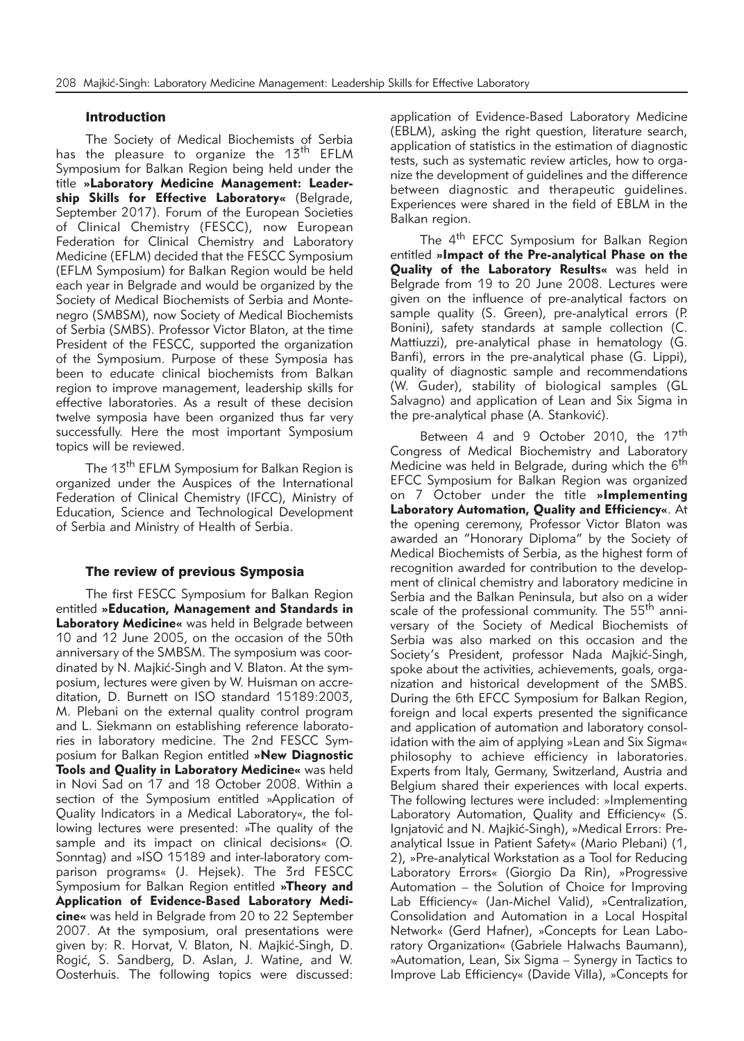# Introduction

The Society of Medical Biochemists of Serbia has the pleasure to organize the 13<sup>th</sup> EFLM Symposium for Balkan Region being held under the title **»Laboratory Medicine Management: Leader ship Skills for Effective Laboratory«** (Belgrade, September 2017). Forum of the European Societies of Clinical Chemistry (FESCC), now European Federation for Clinical Chemistry and Laboratory Medicine (EFLM) decided that the FESCC Symposium (EFLM Symposium) for Balkan Region would be held each year in Belgrade and would be organized by the Society of Medical Biochemists of Serbia and Montenegro (SMBSM), now Society of Medical Biochemists of Serbia (SMBS). Professor Victor Blaton, at the time President of the FESCC, supported the organization of the Symposium. Purpose of these Symposia has been to educate clinical biochemists from Balkan region to improve management, leadership skills for effective laboratories. As a result of these decision twelve symposia have been organized thus far very successfully. Here the most important Symposium topics will be reviewed.

The 13<sup>th</sup> EFLM Symposium for Balkan Region is organized under the Auspices of the International Federation of Clinical Chemistry (IFCC), Ministry of Education, Science and Technological Development of Serbia and Ministry of Health of Serbia.

#### The review of previous Symposia

The first FESCC Symposium for Balkan Region entitled **»Education, Management and Standards in Laboratory Medicine«** was held in Belgrade between 10 and 12 June 2005, on the occasion of the 50th anniversary of the SMBSM. The symposium was coordinated by N. Majkić-Singh and V. Blaton. At the symposium, lectures were given by W. Huisman on accreditation, D. Burnett on ISO standard 15189:2003, M. Plebani on the external quality control program and L. Siekmann on establishing reference laboratories in laboratory medicine. The 2nd FESCC Symposium for Balkan Region entitled **»New Diagnostic Tools and Quality in Laboratory Medicine«** was held in Novi Sad on 17 and 18 October 2008. Within a section of the Symposium entitled »Application of Quality Indicators in a Medical Laboratory«, the following lectures were presented: »The quality of the sample and its impact on clinical decisions« (O. Sonntag) and »ISO 15189 and inter-laboratory comparison programs« (J. Hejsek). The 3rd FESCC Symposium for Balkan Region entitled **»Theory and Application of Evidence-Based Laboratory Medicine«** was held in Belgrade from 20 to 22 September 2007. At the symposium, oral presentations were given by: R. Horvat, V. Blaton, N. Majkić-Singh, D. Rogić, S. Sandberg, D. Aslan, J. Watine, and W. Oosterhuis. The following topics were discussed:

application of Evidence-Based Laboratory Medicine (EBLM), asking the right question, literature search, application of statistics in the estimation of diagnostic tests, such as systematic review articles, how to organize the development of guidelines and the difference between diagnostic and therapeutic guidelines. Experiences were shared in the field of EBLM in the Balkan region.

The 4<sup>th</sup> EFCC Symposium for Balkan Region entitled **»Impact of the Pre-analytical Phase on the Quality of the Laboratory Results«** was held in Belgrade from 19 to 20 June 2008. Lectures were given on the influence of pre-analytical factors on sample quality (S. Green), pre-analytical errors (P. Bonini), safety standards at sample collection (C. Mattiuzzi), pre-analytical phase in hematology (G. Banfi), errors in the pre-analytical phase (G. Lippi), quality of diagnostic sample and recommendations (W. Guder), stability of biological samples (GL Salvagno) and application of Lean and Six Sigma in the pre-analytical phase (A. Stanković).

Between 4 and 9 October 2010, the 17<sup>th</sup> Congress of Medical Biochemistry and Laboratory Medicine was held in Belgrade, during which the 6<sup>th</sup> EFCC Symposium for Balkan Region was organized on 7 October under the title **»Implementing Laboratory Automation, Quality and Efficiency«**. At the opening ceremony, Professor Victor Blaton was awarded an "Honorary Diploma" by the Society of Medical Biochemists of Serbia, as the highest form of recognition awarded for contribution to the development of clinical chemistry and laboratory medicine in Serbia and the Balkan Peninsula, but also on a wider scale of the professional community. The 55<sup>th</sup> anniversary of the Society of Medical Biochemists of Serbia was also marked on this occasion and the Society's President, professor Nada Majkić-Singh, spoke about the activities, achievements, goals, organization and historical development of the SMBS. During the 6th EFCC Symposium for Balkan Region, foreign and local experts presented the significance and application of automation and laboratory consolidation with the aim of applying »Lean and Six Sigma« philosophy to achieve efficiency in laboratories. Experts from Italy, Germany, Switzerland, Austria and Belgium shared their experiences with local experts. The following lectures were included: »Implementing Laboratory Automation, Quality and Efficiency« (S. Igniatović and N. Majkić-Singh), »Medical Errors: Preanalytical Issue in Patient Safety« (Mario Plebani) (1, 2), »Pre-analytical Workstation as a Tool for Reducing Laboratory Errors« (Giorgio Da Rin), »Progressive Automation – the Solution of Choice for Improving Lab Efficiency« (Jan-Michel Valid), »Centralization, Consolidation and Automation in a Local Hospital Network« (Gerd Hafner), »Concepts for Lean Laboratory Organization« (Gabriele Halwachs Baumann), »Automation, Lean, Six Sigma – Synergy in Tactics to Improve Lab Efficiency« (Davide Villa), »Concepts for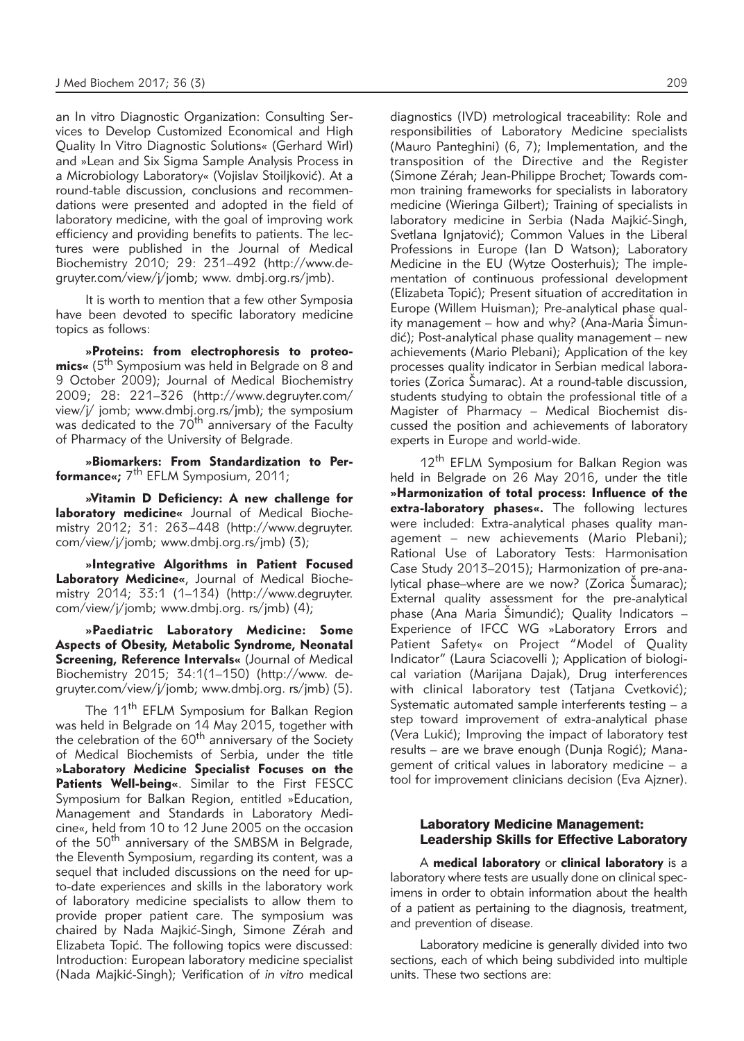an In vitro Diagnostic Organization: Consulting Services to Develop Customized Economical and High Quality In Vitro Diagnostic Solutions« (Gerhard Wirl) and »Lean and Six Sigma Sample Analysis Process in a Microbiology Laboratory« (Vojislav Stoiljković). At a round-table discussion, conclusions and recommendations were presented and adopted in the field of laboratory medicine, with the goal of improving work efficiency and providing benefits to patients. The lectures were published in the Journal of Medical Biochemistry 2010; 29: 231–492 (http://www.de gruyter.com/view/j/jomb; www. dmbj.org.rs/jmb).

It is worth to mention that a few other Symposia have been devoted to specific laboratory medicine topics as follows:

**»Proteins: from electrophoresis to proteo mics**« (5<sup>th</sup> Symposium was held in Belgrade on 8 and 9 October 2009); Journal of Medical Biochemistry 2009; 28: 221–326 (http://www.degruyter.com/ view/j/ jomb; www.dmbj.org.rs/jmb); the symposium was dedicated to the 70<sup>th</sup> anniversary of the Faculty of Pharmacy of the University of Belgrade.

**»Biomarkers: From Standardization to Per formance«;** 7<sup>th</sup> EFLM Symposium, 2011;

**»Vitamin D Deficiency: A new challenge for laboratory medicine**« Journal of Medical Biochemistry 2012; 31: 263–448 (http://www.degruyter. com/view/j/jomb; www.dmbj.org.rs/jmb) (3);

**»Integrative Algorithms in Patient Focused** Laboratory Medicine«, Journal of Medical Biochemistry 2014; 33:1 (1–134) (http://www.degruyter. com/view/j/jomb; www.dmbj.org. rs/jmb) (4);

**»Paediatric Laboratory Medicine: Some Aspects of Obesity, Metabolic Syndrome, Neonatal Screening, Reference Intervals«** (Journal of Medical Biochemistry 2015; 34:1(1–150) (http://www. de gruyter.com/view/j/jomb; www.dmbj.org. rs/jmb) (5).

The 11<sup>th</sup> EFLM Symposium for Balkan Region was held in Belgrade on 14 May 2015, together with the celebration of the  $60<sup>th</sup>$  anniversary of the Society of Medical Biochemists of Serbia, under the title **»Laboratory Medicine Specialist Focuses on the Patients Well-being«**. Similar to the First FESCC Symposium for Balkan Region, entitled »Education, Management and Standards in Laboratory Medicine«, held from 10 to 12 June 2005 on the occasion of the 50<sup>th</sup> anniversary of the SMBSM in Belgrade, the Eleventh Symposium, regarding its content, was a sequel that included discussions on the need for upto-date experiences and skills in the laboratory work of laboratory medicine specialists to allow them to provide proper patient care. The symposium was chaired by Nada Majkić-Singh, Simone Zérah and Elizabeta Topić. The following topics were discussed: Introduction: European laboratory medicine specialist (Nada Majkić-Singh); Verification of *in vitro* medical

diagnostics (IVD) metrological traceability: Role and responsibilities of Laboratory Medicine specialists (Mauro Panteghini) (6, 7); Implementation, and the transposition of the Directive and the Register (Simone Zérah; Jean-Philippe Brochet; Towards common training frameworks for specialists in laboratory medicine (Wieringa Gilbert); Training of specialists in laboratory medicine in Serbia (Nada Majkić-Singh, Svetlana Ignjatović); Common Values in the Liberal Professions in Europe (Ian D Watson); Laboratory Medicine in the EU (Wytze Oosterhuis); The implementation of continuous professional development (Elizabeta Topić); Present situation of accreditation in Europe (Willem Huisman); Pre-analytical phase quality management – how and why? (Ana-Maria  $\text{Simun}$ dić); Post-analytical phase quality management – new achievements (Mario Plebani); Application of the key processes quality indicator in Serbian medical laboratories (Zorica Šumarac). At a round-table discussion, students studying to obtain the professional title of a Magister of Pharmacy – Medical Biochemist discussed the position and achievements of laboratory experts in Europe and world-wide.

12<sup>th</sup> EFLM Symposium for Balkan Region was held in Belgrade on 26 May 2016, under the title **»Harmonization of total process: Influence of the extra-laboratory phases«.** The following lectures were included: Extra-analytical phases quality management – new achievements (Mario Plebani); Rational Use of Laboratory Tests: Harmonisation Case Study 2013–2015); Harmonization of pre-analytical phase–where are we now? (Zorica Šumarac); External quality assessment for the pre-analytical phase (Ana Maria Šimundić); Quality Indicators – Experience of IFCC WG »Laboratory Errors and Patient Safety« on Project "Model of Quality Indicator" (Laura Sciacovelli ); Application of biological variation (Marijana Dajak), Drug interferences with clinical laboratory test (Tatjana Cvetković); Systematic automated sample interferents testing – a step toward improvement of extra-analytical phase (Vera Lukić); Improving the impact of laboratory test results – are we brave enough (Dunja Rogić); Management of critical values in laboratory medicine – a tool for improvement clinicians decision (Eva Ajzner).

# Laboratory Medicine Management: Leadership Skills for Effective Laboratory

A **medical laboratory** or **clinical laboratory** is a laboratory where tests are usually done on clinical specimens in order to obtain information about the health of a patient as pertaining to the diagnosis, treatment, and prevention of disease.

Laboratory medicine is generally divided into two sections, each of which being subdivided into multiple units. These two sections are: